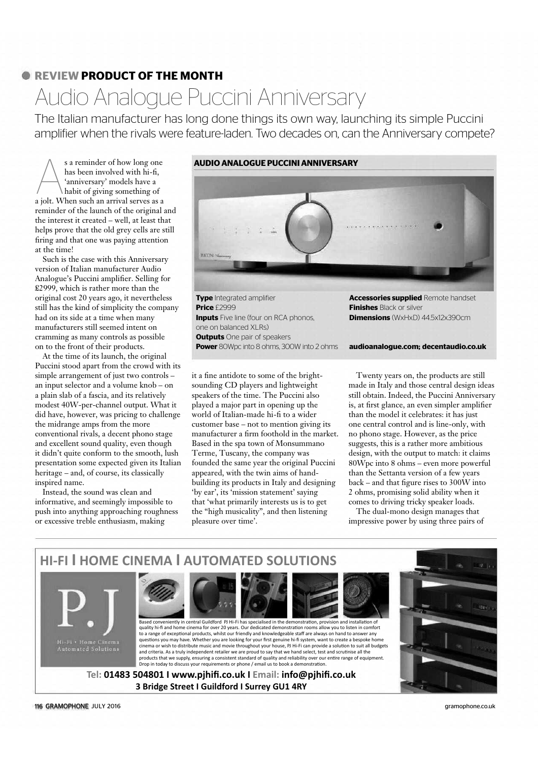## **C REVIEW PRODUCT OF THE MONTH**

# Audio Analogue Puccini Anniversary

The Italian manufacturer has long done things its own way, launching its simple Puccini amplifier when the rivals were feature-laden. Two decades on, can the Anniversary compete?

s a reminder of how long one<br>has been involved with hi-fi,<br>'anniversary' models have a<br>habit of giving something of<br>a jolt. When such an arrival serves as a s a reminder of how long one has been involved with hi-fi, 'anniversary' models have a habit of giving something of a jolt. When such an arrival serves as a reminder of the launch of the original and the interest it created – well, at least that helps prove that the old grey cells are still firing and that one was paying attention at the time!

Such is the case with this Anniversary version of Italian manufacturer Audio Analogue's Puccini amplifier. Selling for £2999, which is rather more than the original cost 20 years ago, it nevertheless still has the kind of simplicity the company had on its side at a time when many manufacturers still seemed intent on cramming as many controls as possible on to the front of their products.

At the time of its launch, the original Puccini stood apart from the crowd with its simple arrangement of just two controls – an input selector and a volume knob – on a plain slab of a fascia, and its relatively modest 40W-per-channel output. What it did have, however, was pricing to challenge the midrange amps from the more conventional rivals, a decent phono stage and excellent sound quality, even though it didn't quite conform to the smooth, lush presentation some expected given its Italian heritage – and, of course, its classically inspired name.

Instead, the sound was clean and informative, and seemingly impossible to push into anything approaching roughness or excessive treble enthusiasm, making



**Type** Integrated amplifier **Price** £2999 **Inputs** Five line (four on RCA phonos, one on balanced XLRs) **Outputs** One pair of speakers **Power** 80Wpc into 8 ohms, 300W into 2 ohms

it a fine antidote to some of the brightsounding CD players and lightweight speakers of the time. The Puccini also played a major part in opening up the world of Italian-made hi-fi to a wider customer base – not to mention giving its manufacturer a firm foothold in the market. Based in the spa town of Monsummano Terme, Tuscany, the company was founded the same year the original Puccini appeared, with the twin aims of handbuilding its products in Italy and designing 'by ear', its 'mission statement' saying that 'what primarily interests us is to get the "high musicality", and then listening pleasure over time'.

**Accessories supplied** Remote handset **Finishes** Black or silver **Dimensions** (WxHxD) 44.5x12x390cm

**audioanalogue.com; decentaudio.co.uk**

Twenty years on, the products are still made in Italy and those central design ideas still obtain. Indeed, the Puccini Anniversary is, at first glance, an even simpler amplifier than the model it celebrates: it has just one central control and is line-only, with no phono stage. However, as the price suggests, this is a rather more ambitious design, with the output to match: it claims 80Wpc into 8 ohms – even more powerful than the Settanta version of a few years back – and that figure rises to 300W into 2 ohms, promising solid ability when it comes to driving tricky speaker loads.

The dual-mono design manages that impressive power by using three pairs of